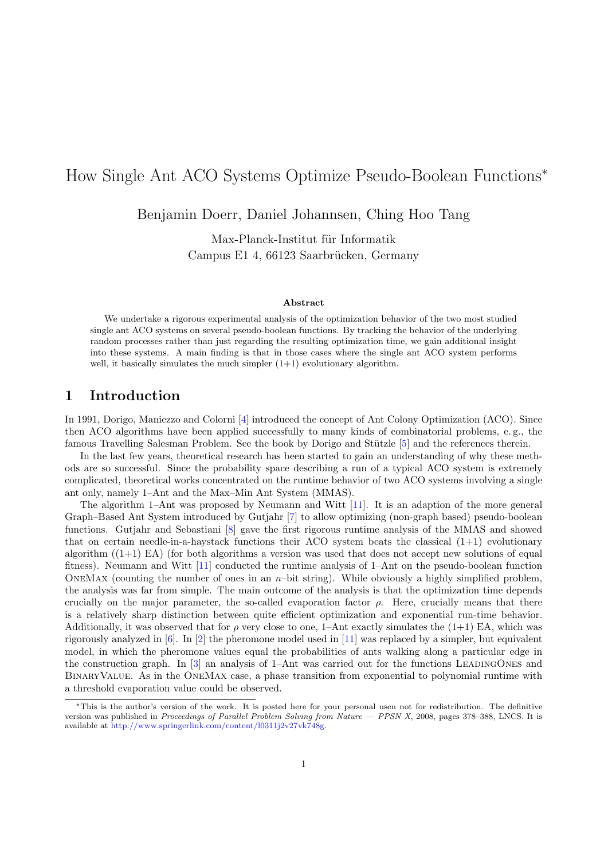# How Single Ant ACO Systems Optimize Pseudo-Boolean Functions<sup>∗</sup>

Benjamin Doerr, Daniel Johannsen, Ching Hoo Tang

Max-Planck-Institut für Informatik Campus E1 4, 66123 Saarbrücken, Germany

#### Abstract

We undertake a rigorous experimental analysis of the optimization behavior of the two most studied single ant ACO systems on several pseudo-boolean functions. By tracking the behavior of the underlying random processes rather than just regarding the resulting optimization time, we gain additional insight into these systems. A main finding is that in those cases where the single ant ACO system performs well, it basically simulates the much simpler  $(1+1)$  evolutionary algorithm.

### 1 Introduction

In 1991, Dorigo, Maniezzo and Colorni [\[4\]](#page-8-0) introduced the concept of Ant Colony Optimization (ACO). Since then ACO algorithms have been applied successfully to many kinds of combinatorial problems, e. g., the famous Travelling Salesman Problem. See the book by Dorigo and Stützle [\[5\]](#page-8-1) and the references therein.

In the last few years, theoretical research has been started to gain an understanding of why these methods are so successful. Since the probability space describing a run of a typical ACO system is extremely complicated, theoretical works concentrated on the runtime behavior of two ACO systems involving a single ant only, namely 1–Ant and the Max–Min Ant System (MMAS).

The algorithm 1–Ant was proposed by Neumann and Witt [\[11\]](#page-8-2). It is an adaption of the more general Graph–Based Ant System introduced by Gutjahr [\[7\]](#page-8-3) to allow optimizing (non-graph based) pseudo-boolean functions. Gutjahr and Sebastiani [\[8\]](#page-8-4) gave the first rigorous runtime analysis of the MMAS and showed that on certain needle-in-a-haystack functions their ACO system beats the classical  $(1+1)$  evolutionary algorithm  $((1+1)$  EA) (for both algorithms a version was used that does not accept new solutions of equal fitness). Neumann and Witt [\[11\]](#page-8-2) conducted the runtime analysis of 1–Ant on the pseudo-boolean function ONEMAX (counting the number of ones in an  $n$ -bit string). While obviously a highly simplified problem, the analysis was far from simple. The main outcome of the analysis is that the optimization time depends crucially on the major parameter, the so-called evaporation factor  $\rho$ . Here, crucially means that there is a relatively sharp distinction between quite efficient optimization and exponential run-time behavior. Additionally, it was observed that for  $\rho$  very close to one, 1–Ant exactly simulates the (1+1) EA, which was rigorously analyzed in [\[6\]](#page-8-5). In [\[2\]](#page-8-6) the pheromone model used in [\[11\]](#page-8-2) was replaced by a simpler, but equivalent model, in which the pheromone values equal the probabilities of ants walking along a particular edge in the construction graph. In  $[3]$  an analysis of 1–Ant was carried out for the functions LEADINGONES and BinaryValue. As in the OneMax case, a phase transition from exponential to polynomial runtime with a threshold evaporation value could be observed.

<sup>∗</sup>This is the author's version of the work. It is posted here for your personal usen not for redistribution. The definitive version was published in Proceedings of Parallel Problem Solving from Nature — PPSN X, 2008, pages 378–388, LNCS. It is available at [http://www.springerlink.com/content/l0311j2v27vk748g.](http://www.springerlink.com/content/l0311j2v27vk748g)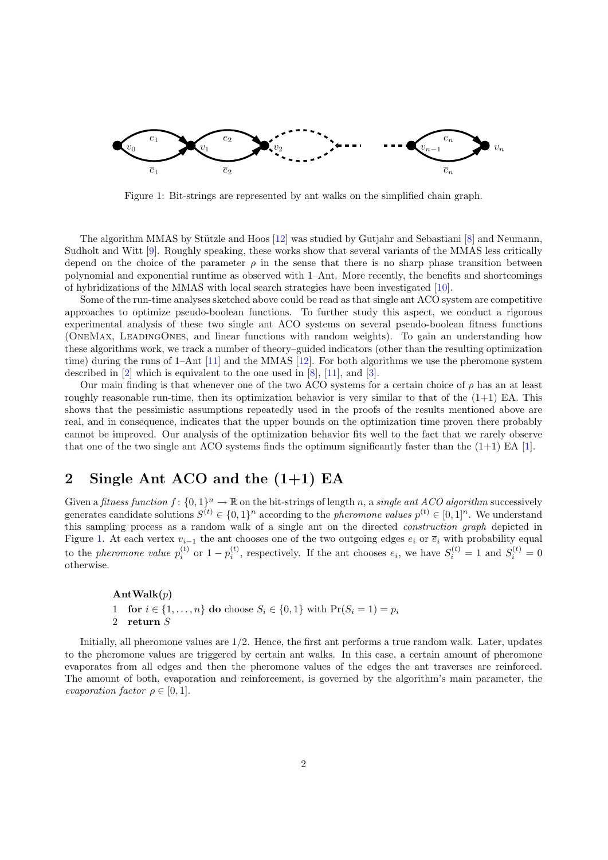

<span id="page-1-0"></span>Figure 1: Bit-strings are represented by ant walks on the simplified chain graph.

The algorithm MMAS by Stützle and Hoos  $[12]$  was studied by Gutjahr and Sebastiani  $[8]$  and Neumann, Sudholt and Witt [\[9\]](#page-8-9). Roughly speaking, these works show that several variants of the MMAS less critically depend on the choice of the parameter  $\rho$  in the sense that there is no sharp phase transition between polynomial and exponential runtime as observed with 1–Ant. More recently, the benefits and shortcomings of hybridizations of the MMAS with local search strategies have been investigated [\[10\]](#page-8-10).

Some of the run-time analyses sketched above could be read as that single ant ACO system are competitive approaches to optimize pseudo-boolean functions. To further study this aspect, we conduct a rigorous experimental analysis of these two single ant ACO systems on several pseudo-boolean fitness functions (OneMax, LeadingOnes, and linear functions with random weights). To gain an understanding how these algorithms work, we track a number of theory–guided indicators (other than the resulting optimization time) during the runs of 1–Ant [\[11\]](#page-8-2) and the MMAS [\[12\]](#page-8-8). For both algorithms we use the pheromone system described in [\[2\]](#page-8-6) which is equivalent to the one used in [\[8\]](#page-8-4), [\[11\]](#page-8-2), and [\[3\]](#page-8-7).

Our main finding is that whenever one of the two ACO systems for a certain choice of  $\rho$  has an at least roughly reasonable run-time, then its optimization behavior is very similar to that of the  $(1+1)$  EA. This shows that the pessimistic assumptions repeatedly used in the proofs of the results mentioned above are real, and in consequence, indicates that the upper bounds on the optimization time proven there probably cannot be improved. Our analysis of the optimization behavior fits well to the fact that we rarely observe that one of the two single ant ACO systems finds the optimum significantly faster than the  $(1+1)$  EA [\[1\]](#page-8-11).

# 2 Single Ant ACO and the  $(1+1)$  EA

Given a fitness function  $f: \{0,1\}^n \to \mathbb{R}$  on the bit-strings of length n, a single ant ACO algorithm successively generates candidate solutions  $S^{(t)} \in \{0,1\}^n$  according to the *pheromone values*  $p^{(t)} \in [0,1]^n$ . We understand this sampling process as a random walk of a single ant on the directed construction graph depicted in Figure [1.](#page-1-0) At each vertex  $v_{i-1}$  the ant chooses one of the two outgoing edges  $e_i$  or  $\overline{e}_i$  with probability equal to the pheromone value  $p_i^{(t)}$  or  $1-p_i^{(t)}$ , respectively. If the ant chooses  $e_i$ , we have  $S_i^{(t)} = 1$  and  $S_i^{(t)} = 0$ otherwise.

 $\text{AntWalk}(p)$ 1 for  $i \in \{1, ..., n\}$  do choose  $S_i \in \{0, 1\}$  with  $Pr(S_i = 1) = p_i$ <br>2 return S return  $S$ 

Initially, all pheromone values are 1/2. Hence, the first ant performs a true random walk. Later, updates to the pheromone values are triggered by certain ant walks. In this case, a certain amount of pheromone evaporates from all edges and then the pheromone values of the edges the ant traverses are reinforced. The amount of both, evaporation and reinforcement, is governed by the algorithm's main parameter, the evaporation factor  $\rho \in [0, 1]$ .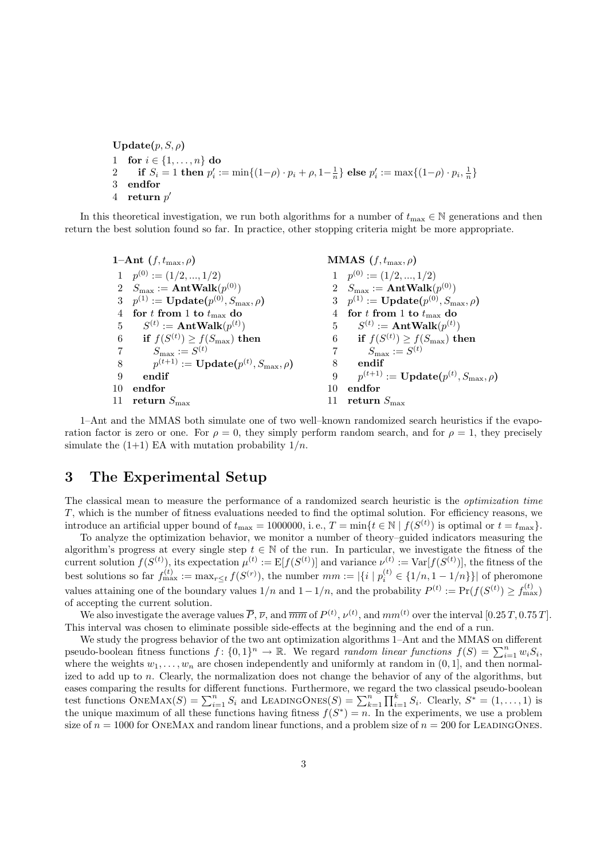Update $(p, S, \rho)$ 1 for  $i \in \{1, ..., n\}$  do 2 if  $S_i = 1$  then  $p'_i := \min\{(1-\rho) \cdot p_i + \rho, 1-\frac{1}{n}\}\)$  else  $p'_i := \max\{(1-\rho) \cdot p_i, \frac{1}{n}\}\$ 3 endfor  $4$  return  $p'$ 

In this theoretical investigation, we run both algorithms for a number of  $t_{\text{max}} \in \mathbb{N}$  generations and then return the best solution found so far. In practice, other stopping criteria might be more appropriate.

|    | 1-Ant $(f, t_{\max}, \rho)$                                   |    | <b>MMAS</b> $(f, t_{\max}, \rho)$                             |
|----|---------------------------------------------------------------|----|---------------------------------------------------------------|
|    | $1 \quad p^{(0)} := (1/2, , 1/2)$                             |    | $1 \quad p^{(0)} := (1/2, , 1/2)$                             |
|    | 2 $S_{\text{max}} := \text{AntWalk}(p^{(0)})$                 |    | 2 $S_{\text{max}} := \text{AntWalk}(p^{(0)})$                 |
|    | 3 $p^{(1)} := \textbf{Update}(p^{(0)}, S_{\text{max}}, \rho)$ |    | 3 $p^{(1)} := \textbf{Update}(p^{(0)}, S_{\text{max}}, \rho)$ |
|    | 4 for t from 1 to $t_{\text{max}}$ do                         |    | 4 for t from 1 to $t_{\text{max}}$ do                         |
|    | 5 $S^{(t)} := \text{AntWalk}(p^{(t)})$                        |    | 5 $S^{(t)} := \text{AntWalk}(p^{(t)})$                        |
|    | 6 if $f(S^{(t)}) \ge f(S_{\text{max}})$ then                  |    | 6 if $f(S^{(t)}) \ge f(S_{\text{max}})$ then                  |
|    | 7 $S_{\text{max}} := S^{(t)}$                                 |    | $S_{\max} := S^{(t)}$                                         |
| 8  | $p^{(t+1)} := \textbf{Update}(p^{(t)}, S_{\text{max}}, \rho)$ | 8  | endif                                                         |
| 9  | endif                                                         | 9  | $p^{(t+1)} := \textbf{Update}(p^{(t)}, S_{\text{max}}, \rho)$ |
| 10 | endfor                                                        | 10 | endfor                                                        |
|    | 11 return $S_{\text{max}}$                                    | 11 | return $S_{\text{max}}$                                       |
|    |                                                               |    |                                                               |

1–Ant and the MMAS both simulate one of two well–known randomized search heuristics if the evaporation factor is zero or one. For  $\rho = 0$ , they simply perform random search, and for  $\rho = 1$ , they precisely simulate the  $(1+1)$  EA with mutation probability  $1/n$ .

# 3 The Experimental Setup

The classical mean to measure the performance of a randomized search heuristic is the optimization time T, which is the number of fitness evaluations needed to find the optimal solution. For efficiency reasons, we introduce an artificial upper bound of  $t_{\text{max}} = 1000000$ , i.e.,  $T = \min\{t \in \mathbb{N} \mid f(S^{(t)})\}$  is optimal or  $t = t_{\text{max}}\}$ .

To analyze the optimization behavior, we monitor a number of theory–guided indicators measuring the algorithm's progress at every single step  $t \in \mathbb{N}$  of the run. In particular, we investigate the fitness of the current solution  $f(S^{(t)})$ , its expectation  $\mu^{(t)} := \mathbb{E}[f(S^{(t)})]$  and variance  $\nu^{(t)} := \text{Var}[f(S^{(t)})]$ , the fitness of the best solutions so far  $f_{\text{max}}^{(t)} := \max_{r \le t} f(S^{(r)})$ , the number  $mm := |\{i \mid p_i^{(t)} \in \{1/n, 1 - 1/n\}\}|$  of pheromone values attaining one of the boundary values  $1/n$  and  $1-1/n$ , and the probability  $P^{(t)} := \Pr(f(S^{(t)}) \ge f_{\max}^{(t)})$ of accepting the current solution.

We also investigate the average values  $\overline{P}$ ,  $\overline{\nu}$ , and  $\overline{mm}$  of  $P^{(t)}$ ,  $\nu^{(t)}$ , and  $mm^{(t)}$  over the interval  $[0.25 T, 0.75 T]$ . This interval was chosen to eliminate possible side-effects at the beginning and the end of a run.

We study the progress behavior of the two ant optimization algorithms 1–Ant and the MMAS on different pseudo-boolean fitness functions  $f: \{0,1\}^n \to \mathbb{R}$ . We regard *random linear functions*  $f(S) = \sum_{i=1}^n w_i S_i$ , where the weights  $w_1, \ldots, w_n$  are chosen independently and uniformly at random in  $(0, 1]$ , and then normalized to add up to n. Clearly, the normalization does not change the behavior of any of the algorithms, but eases comparing the results for different functions. Furthermore, we regard the two classical pseudo-boolean test functions  $\text{ONEMAX}(S) = \sum_{i=1}^{n} S_i$  and LEADINGONES $(S) = \sum_{k=1}^{n} \prod_{i=1}^{k} S_i$ . Clearly,  $S^* = (1, \ldots, 1)$  is the unique maximum of all these functions having fitness  $f(S^*) = n$ . In the experiments, we use a problem size of  $n = 1000$  for ONEMAX and random linear functions, and a problem size of  $n = 200$  for LEADINGONES.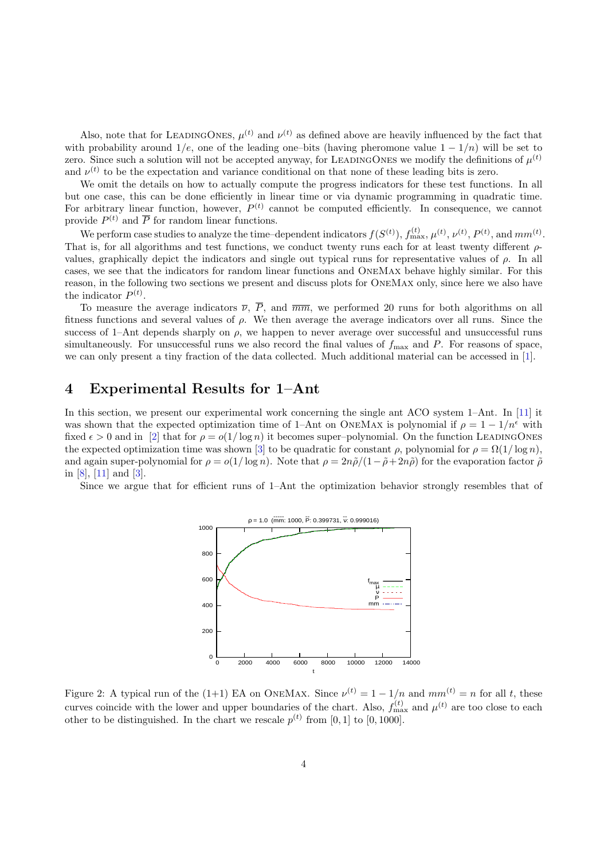Also, note that for LEADINGONES,  $\mu^{(t)}$  and  $\nu^{(t)}$  as defined above are heavily influenced by the fact that with probability around  $1/e$ , one of the leading one–bits (having pheromone value  $1 - 1/n$ ) will be set to zero. Since such a solution will not be accepted anyway, for LEADINGONES we modify the definitions of  $\mu^{(t)}$ and  $\nu^{(t)}$  to be the expectation and variance conditional on that none of these leading bits is zero.

We omit the details on how to actually compute the progress indicators for these test functions. In all but one case, this can be done efficiently in linear time or via dynamic programming in quadratic time. For arbitrary linear function, however,  $P^{(t)}$  cannot be computed efficiently. In consequence, we cannot provide  $P^{(t)}$  and  $\overline{P}$  for random linear functions.

We perform case studies to analyze the time-dependent indicators  $f(S^{(t)})$ ,  $f_{\text{max}}^{(t)}$ ,  $\mu^{(t)}$ ,  $\nu^{(t)}$ ,  $P^{(t)}$ , and  $mm^{(t)}$ . That is, for all algorithms and test functions, we conduct twenty runs each for at least twenty different ρvalues, graphically depict the indicators and single out typical runs for representative values of  $\rho$ . In all cases, we see that the indicators for random linear functions and OneMax behave highly similar. For this reason, in the following two sections we present and discuss plots for OneMax only, since here we also have the indicator  $P^{(t)}$ .

To measure the average indicators  $\overline{\nu}$ ,  $\overline{P}$ , and  $\overline{mm}$ , we performed 20 runs for both algorithms on all fitness functions and several values of  $\rho$ . We then average the average indicators over all runs. Since the success of 1–Ant depends sharply on  $\rho$ , we happen to never average over successful and unsuccessful runs simultaneously. For unsuccessful runs we also record the final values of  $f_{\text{max}}$  and P. For reasons of space, we can only present a tiny fraction of the data collected. Much additional material can be accessed in [\[1\]](#page-8-11).

#### 4 Experimental Results for 1–Ant

In this section, we present our experimental work concerning the single ant ACO system 1–Ant. In [\[11\]](#page-8-2) it was shown that the expected optimization time of 1–Ant on ONEMAX is polynomial if  $\rho = 1 - 1/n^{\epsilon}$  with fixed  $\epsilon > 0$  and in [\[2\]](#page-8-6) that for  $\rho = o(1/\log n)$  it becomes super-polynomial. On the function LEADINGONES the expected optimization time was shown [\[3\]](#page-8-7) to be quadratic for constant  $\rho$ , polynomial for  $\rho = \Omega(1/\log n)$ , and again super-polynomial for  $\rho = o(1/\log n)$ . Note that  $\rho = 2n\tilde{\rho}/(1-\tilde{\rho}+2n\tilde{\rho})$  for the evaporation factor  $\tilde{\rho}$ in [\[8\]](#page-8-4), [\[11\]](#page-8-2) and [\[3\]](#page-8-7).

Since we argue that for efficient runs of 1–Ant the optimization behavior strongly resembles that of



<span id="page-3-0"></span>Figure 2: A typical run of the (1+1) EA on ONEMAX. Since  $\nu^{(t)} = 1 - 1/n$  and  $mm^{(t)} = n$  for all t, these curves coincide with the lower and upper boundaries of the chart. Also,  $f_{\text{max}}^{(t)}$  and  $\mu^{(t)}$  are too close to each other to be distinguished. In the chart we rescale  $p^{(t)}$  from [0, 1] to [0, 1000].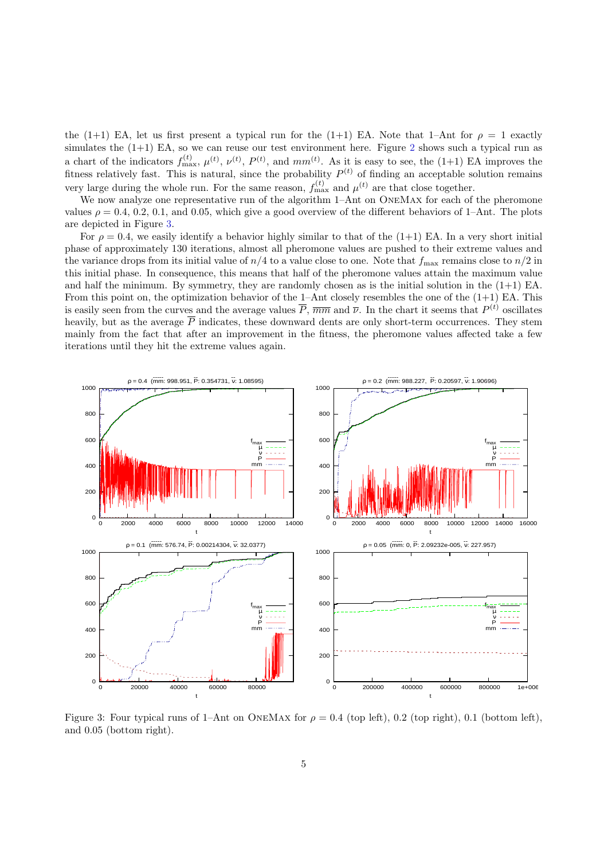the (1+1) EA, let us first present a typical run for the (1+1) EA. Note that 1–Ant for  $\rho = 1$  exactly simulates the  $(1+1)$  EA, so we can reuse our test environment here. Figure [2](#page-3-0) shows such a typical run as a chart of the indicators  $f_{\text{max}}^{(t)}$ ,  $\mu^{(t)}$ ,  $\nu^{(t)}$ ,  $P^{(t)}$ , and  $mm^{(t)}$ . As it is easy to see, the (1+1) EA improves the fitness relatively fast. This is natural, since the probability  $P<sup>(t)</sup>$  of finding an acceptable solution remains very large during the whole run. For the same reason,  $f_{\text{max}}^{(t)}$  and  $\mu^{(t)}$  are that close together.

We now analyze one representative run of the algorithm 1–Ant on ONEMAX for each of the pheromone values  $\rho = 0.4, 0.2, 0.1,$  and 0.05, which give a good overview of the different behaviors of 1–Ant. The plots are depicted in Figure [3.](#page-4-0)

For  $\rho = 0.4$ , we easily identify a behavior highly similar to that of the (1+1) EA. In a very short initial phase of approximately 130 iterations, almost all pheromone values are pushed to their extreme values and the variance drops from its initial value of  $n/4$  to a value close to one. Note that  $f_{\text{max}}$  remains close to  $n/2$  in this initial phase. In consequence, this means that half of the pheromone values attain the maximum value and half the minimum. By symmetry, they are randomly chosen as is the initial solution in the  $(1+1)$  EA. From this point on, the optimization behavior of the 1–Ant closely resembles the one of the  $(1+1)$  EA. This is easily seen from the curves and the average values  $\overline{P}$ ,  $\overline{mm}$  and  $\overline{\nu}$ . In the chart it seems that  $P^{(t)}$  oscillates heavily, but as the average  $\overline{P}$  indicates, these downward dents are only short-term occurrences. They stem mainly from the fact that after an improvement in the fitness, the pheromone values affected take a few iterations until they hit the extreme values again.



<span id="page-4-0"></span>Figure 3: Four typical runs of 1–Ant on ONEMAX for  $\rho = 0.4$  (top left), 0.2 (top right), 0.1 (bottom left), and 0.05 (bottom right).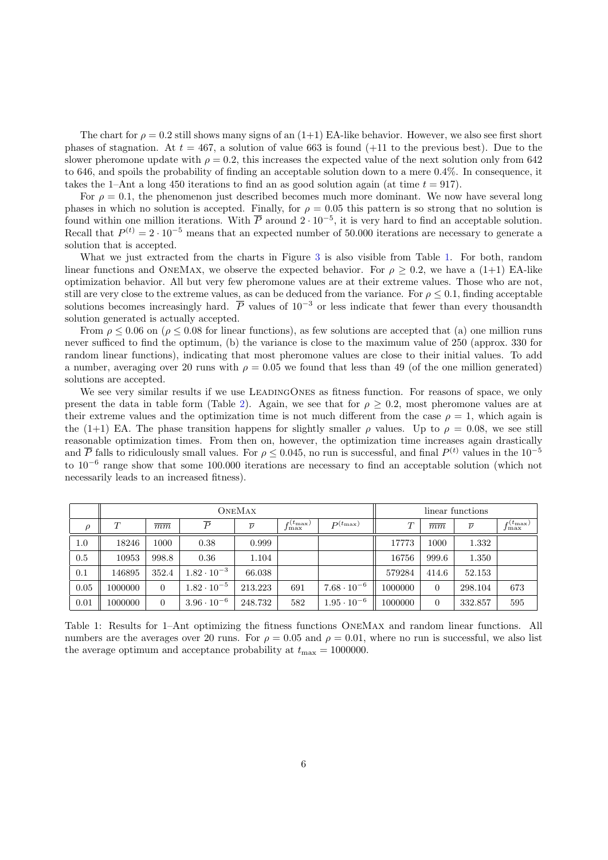The chart for  $\rho = 0.2$  still shows many signs of an  $(1+1)$  EA-like behavior. However, we also see first short phases of stagnation. At  $t = 467$ , a solution of value 663 is found (+11 to the previous best). Due to the slower pheromone update with  $\rho = 0.2$ , this increases the expected value of the next solution only from 642 to 646, and spoils the probability of finding an acceptable solution down to a mere 0.4%. In consequence, it takes the 1–Ant a long 450 iterations to find an as good solution again (at time  $t = 917$ ).

For  $\rho = 0.1$ , the phenomenon just described becomes much more dominant. We now have several long phases in which no solution is accepted. Finally, for  $\rho = 0.05$  this pattern is so strong that no solution is found within one million iterations. With  $\overline{P}$  around  $2 \cdot 10^{-5}$ , it is very hard to find an acceptable solution. Recall that  $P^{(t)} = 2 \cdot 10^{-5}$  means that an expected number of 50.000 iterations are necessary to generate a solution that is accepted.

What we just extracted from the charts in Figure [3](#page-4-0) is also visible from Table [1.](#page-5-0) For both, random linear functions and ONEMAX, we observe the expected behavior. For  $\rho \geq 0.2$ , we have a (1+1) EA-like optimization behavior. All but very few pheromone values are at their extreme values. Those who are not, still are very close to the extreme values, as can be deduced from the variance. For  $\rho \leq 0.1$ , finding acceptable solutions becomes increasingly hard.  $\overline{P}$  values of 10<sup>-3</sup> or less indicate that fewer than every thousandth solution generated is actually accepted.

From  $\rho \leq 0.06$  on ( $\rho \leq 0.08$  for linear functions), as few solutions are accepted that (a) one million runs never sufficed to find the optimum, (b) the variance is close to the maximum value of 250 (approx. 330 for random linear functions), indicating that most pheromone values are close to their initial values. To add a number, averaging over 20 runs with  $\rho = 0.05$  we found that less than 49 (of the one million generated) solutions are accepted.

We see very similar results if we use LEADINGONES as fitness function. For reasons of space, we only present the data in table form (Table [2\)](#page-6-0). Again, we see that for  $\rho \geq 0.2$ , most pheromone values are at their extreme values and the optimization time is not much different from the case  $\rho = 1$ , which again is the (1+1) EA. The phase transition happens for slightly smaller  $\rho$  values. Up to  $\rho = 0.08$ , we see still reasonable optimization times. From then on, however, the optimization time increases again drastically and  $\overline{P}$  falls to ridiculously small values. For  $\rho \leq 0.045$ , no run is successful, and final  $P^{(t)}$  values in the  $10^{-5}$ to 10<sup>-6</sup> range show that some 100.000 iterations are necessary to find an acceptable solution (which not necessarily leads to an increased fitness).

|        |                      |                | <b>ONEMAX</b>        | linear functions |                               |                      |                      |                |                  |                         |
|--------|----------------------|----------------|----------------------|------------------|-------------------------------|----------------------|----------------------|----------------|------------------|-------------------------|
| $\rho$ | T<br>$\overline{mm}$ |                | $\overline{P}$       | $\overline{\nu}$ | $f_{\rm max}^{(t_{\rm max})}$ | $P^{(t_{\max})}$     | T<br>$\overline{mm}$ |                | $\overline{\nu}$ | $f_{\max}^{(t_{\max})}$ |
| 1.0    | 18246                | 1000           | 0.38                 | 0.999            |                               |                      | 17773                | 1000           | 1.332            |                         |
| 0.5    | 10953                | 998.8          | 0.36                 | 1.104            |                               |                      | 16756                | 999.6          | 1.350            |                         |
| 0.1    | 146895               | 352.4          | $1.82 \cdot 10^{-3}$ | 66.038           |                               |                      | 579284               | 414.6          | 52.153           |                         |
| 0.05   | 1000000              | $\Omega$       | $1.82 \cdot 10^{-5}$ | 213.223          | 691                           | $7.68 \cdot 10^{-6}$ | 1000000              | $\overline{0}$ | 298.104          | 673                     |
| 0.01   | 1000000              | $\overline{0}$ | $3.96 \cdot 10^{-6}$ | 248.732          | 582                           | $1.95 \cdot 10^{-6}$ | 1000000              | $\theta$       | 332.857          | 595                     |

<span id="page-5-0"></span>Table 1: Results for 1–Ant optimizing the fitness functions OneMax and random linear functions. All numbers are the averages over 20 runs. For  $\rho = 0.05$  and  $\rho = 0.01$ , where no run is successful, we also list the average optimum and acceptance probability at  $t_{\text{max}} = 1000000$ .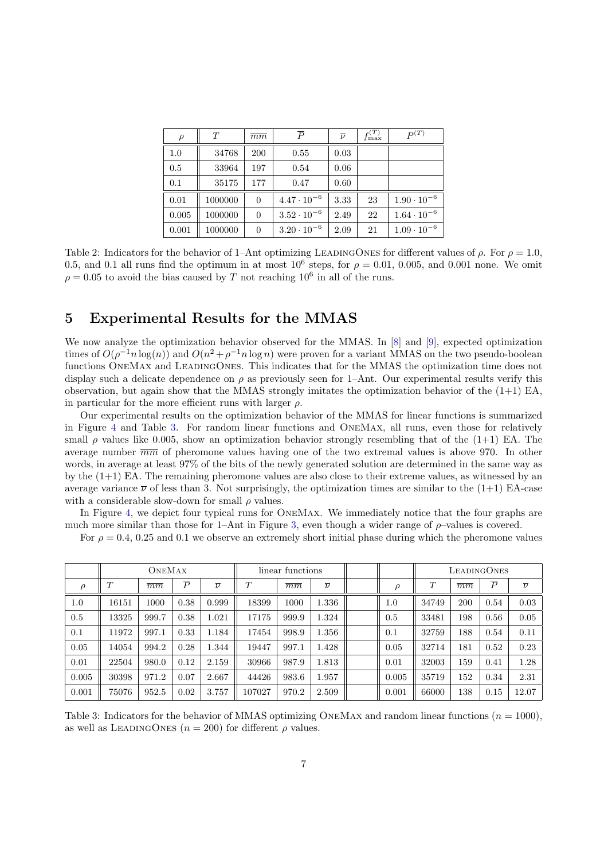| $\rho$ | T       | $\overline{mm}$ | $\boldsymbol{P}$     | $\overline{\nu}$ | $f_{\rm max}^{(T)}$ | $P^{(T)}$            |
|--------|---------|-----------------|----------------------|------------------|---------------------|----------------------|
| 1.0    | 34768   | 200             | 0.55                 | 0.03             |                     |                      |
| 0.5    | 33964   | 197             | 0.54                 | 0.06             |                     |                      |
| 0.1    | 35175   | 177             | 0.47                 | 0.60             |                     |                      |
| 0.01   | 1000000 | $\overline{0}$  | $4.47 \cdot 10^{-6}$ | 3.33             | 23                  | $1.90 \cdot 10^{-6}$ |
| 0.005  | 1000000 | $\overline{0}$  | $3.52 \cdot 10^{-6}$ | 2.49             | 22                  | $1.64 \cdot 10^{-6}$ |
| 0.001  | 1000000 | $\overline{0}$  | $3.20 \cdot 10^{-6}$ | 2.09             | 21                  | $1.09 \cdot 10^{-6}$ |

<span id="page-6-0"></span>Table 2: Indicators for the behavior of 1–Ant optimizing LEADINGONES for different values of  $\rho$ . For  $\rho = 1.0$ , 0.5, and 0.1 all runs find the optimum in at most  $10^6$  steps, for  $\rho = 0.01$ , 0.005, and 0.001 none. We omit  $\rho = 0.05$  to avoid the bias caused by T not reaching 10<sup>6</sup> in all of the runs.

## 5 Experimental Results for the MMAS

We now analyze the optimization behavior observed for the MMAS. In [\[8\]](#page-8-4) and [\[9\]](#page-8-9), expected optimization times of  $O(\rho^{-1} n \log(n))$  and  $O(n^2 + \rho^{-1} n \log n)$  were proven for a variant MMAS on the two pseudo-boolean functions OneMax and LeadingOnes. This indicates that for the MMAS the optimization time does not display such a delicate dependence on  $\rho$  as previously seen for 1–Ant. Our experimental results verify this observation, but again show that the MMAS strongly imitates the optimization behavior of the  $(1+1)$  EA, in particular for the more efficient runs with larger  $\rho$ .

Our experimental results on the optimization behavior of the MMAS for linear functions is summarized in Figure [4](#page-7-0) and Table [3.](#page-6-1) For random linear functions and OneMax, all runs, even those for relatively small  $\rho$  values like 0.005, show an optimization behavior strongly resembling that of the (1+1) EA. The average number  $\overline{mm}$  of pheromone values having one of the two extremal values is above 970. In other words, in average at least 97% of the bits of the newly generated solution are determined in the same way as by the (1+1) EA. The remaining pheromone values are also close to their extreme values, as witnessed by an average variance  $\overline{\nu}$  of less than 3. Not surprisingly, the optimization times are similar to the (1+1) EA-case with a considerable slow-down for small  $\rho$  values.

In Figure [4,](#page-7-0) we depict four typical runs for OneMax. We immediately notice that the four graphs are much more similar than those for 1–Ant in Figure [3,](#page-4-0) even though a wider range of  $\rho$ –values is covered.

For  $\rho = 0.4, 0.25$  and 0.1 we observe an extremely short initial phase during which the pheromone values

|        | <b>ONEMAX</b> |                 |                |                  | linear functions |                 |                  |               | LEADINGONES |                 |                |                  |
|--------|---------------|-----------------|----------------|------------------|------------------|-----------------|------------------|---------------|-------------|-----------------|----------------|------------------|
| $\rho$ | $\tau$        | $\overline{mm}$ | $\overline{P}$ | $\overline{\nu}$ | T                | $\overline{mm}$ | $\overline{\nu}$ | $\mathcal{D}$ | T           | $\overline{mm}$ | $\overline{P}$ | $\overline{\nu}$ |
| 1.0    | 16151         | 1000            | 0.38           | 0.999            | 18399            | 1000            | 1.336            | 1.0           | 34749       | 200             | 0.54           | 0.03             |
| 0.5    | 13325         | 999.7           | 0.38           | 1.021            | 17175            | 999.9           | 1.324            | 0.5           | 33481       | 198             | 0.56           | 0.05             |
| 0.1    | 11972         | 997.1           | 0.33           | 1.184            | 17454            | 998.9           | 1.356            | 0.1           | 32759       | 188             | 0.54           | 0.11             |
| 0.05   | 14054         | 994.2           | 0.28           | 1.344            | 19447            | 997.1           | 1.428            | 0.05          | 32714       | 181             | 0.52           | 0.23             |
| 0.01   | 22504         | 980.0           | 0.12           | 2.159            | 30966            | 987.9           | 1.813            | 0.01          | 32003       | 159             | 0.41           | 1.28             |
| 0.005  | 30398         | 971.2           | 0.07           | 2.667            | 44426            | 983.6           | 1.957            | 0.005         | 35719       | 152             | 0.34           | 2.31             |
| 0.001  | 75076         | 952.5           | 0.02           | 3.757            | 107027           | 970.2           | 2.509            | 0.001         | 66000       | 138             | 0.15           | 12.07            |

<span id="page-6-1"></span>Table 3: Indicators for the behavior of MMAS optimizing ONEMAX and random linear functions  $(n = 1000)$ , as well as LEADINGONES  $(n = 200)$  for different  $\rho$  values.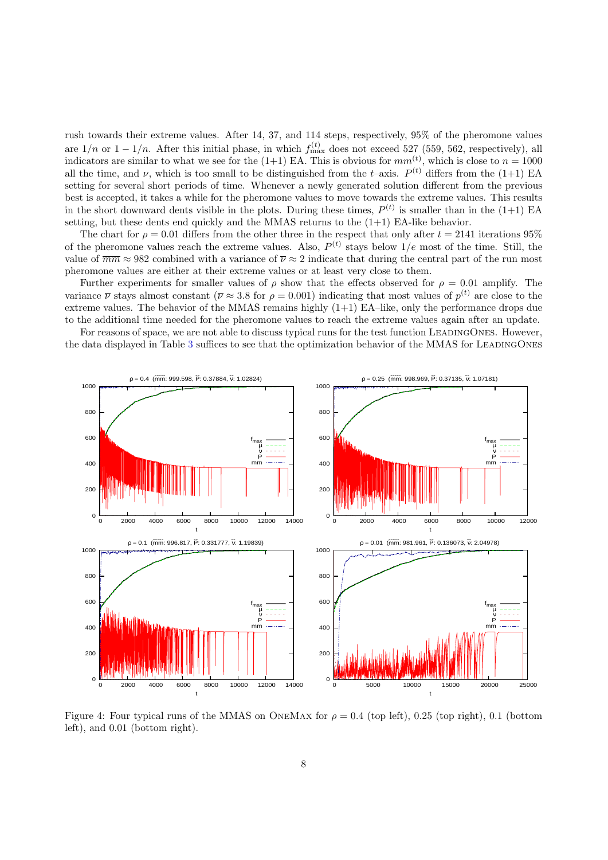rush towards their extreme values. After 14, 37, and 114 steps, respectively, 95% of the pheromone values are  $1/n$  or  $1-1/n$ . After this initial phase, in which  $f_{\text{max}}^{(t)}$  does not exceed 527 (559, 562, respectively), all indicators are similar to what we see for the (1+1) EA. This is obvious for  $mm^{(t)}$ , which is close to  $n = 1000$ all the time, and  $\nu$ , which is too small to be distinguished from the t–axis.  $P^{(t)}$  differs from the (1+1) EA setting for several short periods of time. Whenever a newly generated solution different from the previous best is accepted, it takes a while for the pheromone values to move towards the extreme values. This results in the short downward dents visible in the plots. During these times,  $P^{(t)}$  is smaller than in the (1+1) EA setting, but these dents end quickly and the MMAS returns to the  $(1+1)$  EA-like behavior.

The chart for  $\rho = 0.01$  differs from the other three in the respect that only after  $t = 2141$  iterations 95% of the pheromone values reach the extreme values. Also,  $P^{(t)}$  stays below  $1/e$  most of the time. Still, the value of  $\overline{mm} \approx 982$  combined with a variance of  $\overline{\nu} \approx 2$  indicate that during the central part of the run most pheromone values are either at their extreme values or at least very close to them.

Further experiments for smaller values of  $\rho$  show that the effects observed for  $\rho = 0.01$  amplify. The variance  $\bar{\nu}$  stays almost constant ( $\bar{\nu} \approx 3.8$  for  $\rho = 0.001$ ) indicating that most values of  $p^{(t)}$  are close to the extreme values. The behavior of the MMAS remains highly  $(1+1)$  EA–like, only the performance drops due to the additional time needed for the pheromone values to reach the extreme values again after an update.

For reasons of space, we are not able to discuss typical runs for the test function LEADINGONES. However, the data displayed in Table [3](#page-6-1) suffices to see that the optimization behavior of the MMAS for LEADINGONES



<span id="page-7-0"></span>Figure 4: Four typical runs of the MMAS on ONEMAX for  $\rho = 0.4$  (top left), 0.25 (top right), 0.1 (bottom left), and 0.01 (bottom right).